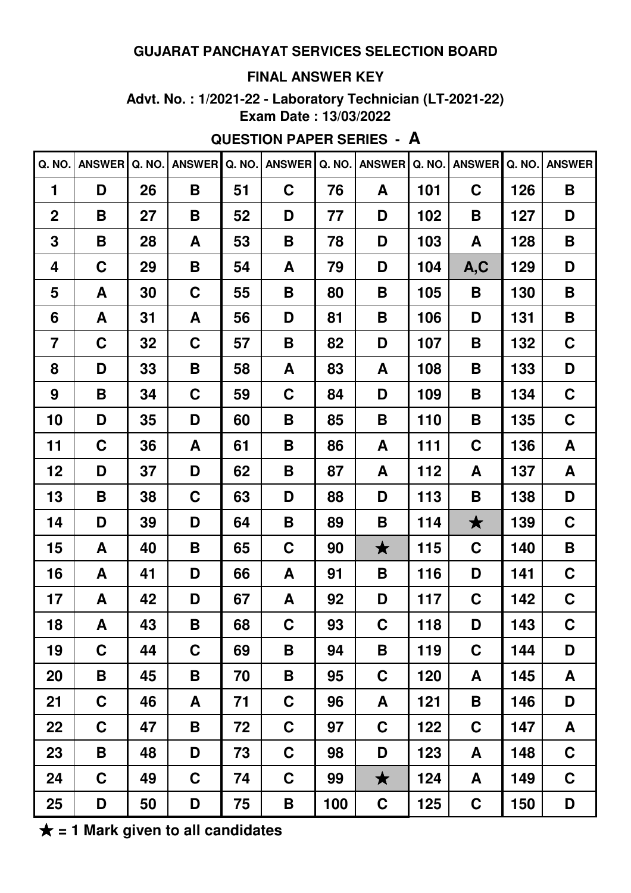### **FINAL ANSWER KEY**

Advt. No.: 1/2021-22 - Laboratory Technician (LT-2021-22) Exam Date: 13/03/2022

### **QUESTION PAPER SERIES - A**

| Q. NO.         | ANSWER Q. NO.    |    | <b>ANSWER</b> | Q. NO. | <b>ANSWER</b> | Q. NO. | <b>ANSWER</b> | Q. NO. | <b>ANSWER</b> | Q. NO. | <b>ANSWER</b> |
|----------------|------------------|----|---------------|--------|---------------|--------|---------------|--------|---------------|--------|---------------|
| 1              | D                | 26 | B             | 51     | $\mathbf C$   | 76     | A             | 101    | $\mathbf C$   | 126    | B             |
| $\overline{2}$ | B                | 27 | B             | 52     | D             | 77     | D             | 102    | B             | 127    | D             |
| 3              | B                | 28 | A             | 53     | B             | 78     | D             | 103    | A             | 128    | B             |
| 4              | $\mathbf C$      | 29 | B             | 54     | A             | 79     | D             | 104    | A, C          | 129    | D             |
| 5              | A                | 30 | $\mathbf C$   | 55     | B             | 80     | B             | 105    | B             | 130    | B             |
| 6              | A                | 31 | A             | 56     | D             | 81     | B             | 106    | D             | 131    | B             |
| $\overline{7}$ | $\mathbf C$      | 32 | $\mathbf C$   | 57     | B             | 82     | D             | 107    | B             | 132    | $\mathbf C$   |
| 8              | D                | 33 | B             | 58     | A             | 83     | A             | 108    | B             | 133    | D             |
| 9              | B                | 34 | $\mathbf C$   | 59     | $\mathbf C$   | 84     | D             | 109    | B             | 134    | $\mathbf C$   |
| 10             | D                | 35 | D             | 60     | B             | 85     | B             | 110    | B             | 135    | $\mathbf C$   |
| 11             | $\mathbf C$      | 36 | A             | 61     | B             | 86     | A             | 111    | $\mathbf C$   | 136    | A             |
| 12             | D                | 37 | D             | 62     | B             | 87     | A             | 112    | A             | 137    | A             |
| 13             | B                | 38 | $\mathbf C$   | 63     | D             | 88     | D             | 113    | B             | 138    | D             |
| 14             | D                | 39 | D             | 64     | B             | 89     | B             | 114    | $\bigstar$    | 139    | $\mathbf C$   |
| 15             | A                | 40 | B             | 65     | C             | 90     | $\bigstar$    | 115    | $\mathbf C$   | 140    | B             |
| 16             | A                | 41 | D             | 66     | A             | 91     | B             | 116    | D             | 141    | $\mathbf C$   |
| 17             | A                | 42 | D             | 67     | A             | 92     | D             | 117    | $\mathbf C$   | 142    | $\mathbf C$   |
| 18             | $\boldsymbol{A}$ | 43 | B             | 68     | $\mathbf C$   | 93     | $\mathbf C$   | 118    | D             | 143    | $\mathbf C$   |
| 19             | $\mathbf C$      | 44 | $\mathbf C$   | 69     | Β             | 94     | B             | 119    | $\mathbf C$   | 144    | D             |
| 20             | B                | 45 | B             | 70     | B             | 95     | $\mathbf C$   | 120    | A             | 145    | A             |
| 21             | $\mathbf C$      | 46 | A             | 71     | $\mathbf C$   | 96     | A             | 121    | B             | 146    | D             |
| 22             | $\mathbf C$      | 47 | B             | 72     | $\mathbf C$   | 97     | $\mathbf C$   | 122    | C             | 147    | A             |
| 23             | B                | 48 | D             | 73     | $\mathbf C$   | 98     | D             | 123    | A             | 148    | $\mathbf C$   |
| 24             | $\mathbf C$      | 49 | $\mathbf C$   | 74     | $\mathbf C$   | 99     | $\bigstar$    | 124    | A             | 149    | $\mathbf C$   |
| 25             | D                | 50 | D             | 75     | B             | 100    | $\mathbf C$   | 125    | C             | 150    | D             |

 $\bigstar$  = 1 Mark given to all candidates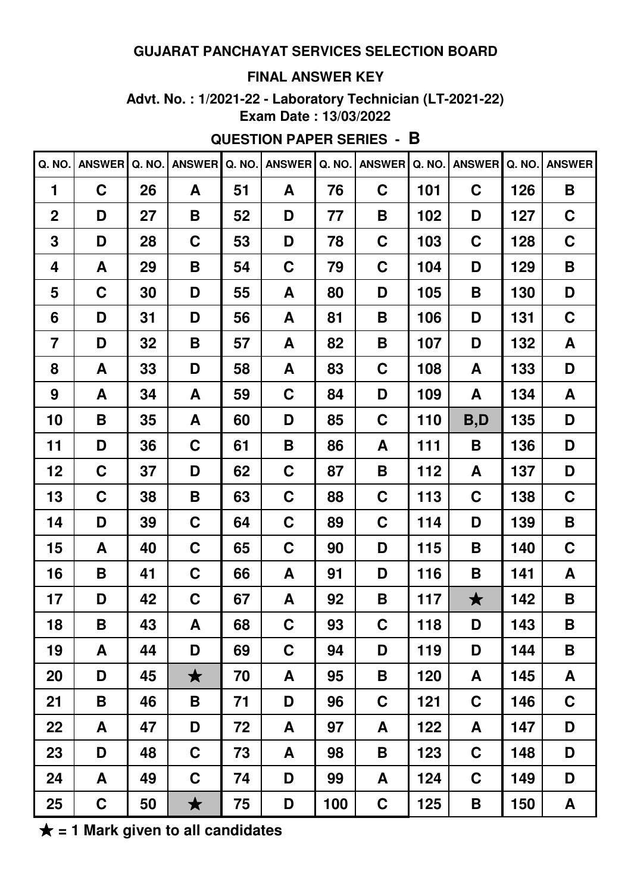### **FINAL ANSWER KEY**

**Advt. No. : 1/2021-22 - Laboratory Technician (LT-2021-22) Exam Date : 13/03/2022**

# **QUESTION PAPER SERIES - B**

| Q. NO.         | ANSWER Q. NO. |    | <b>ANSWER</b> | Q. NO. | <b>ANSWER</b> | Q. NO. | <b>ANSWER</b> | Q. NO. | <b>ANSWER</b> | Q. NO. | <b>ANSWER</b> |
|----------------|---------------|----|---------------|--------|---------------|--------|---------------|--------|---------------|--------|---------------|
| $\mathbf 1$    | $\mathbf C$   | 26 | A             | 51     | A             | 76     | C             | 101    | $\mathbf C$   | 126    | B             |
| $\overline{2}$ | D             | 27 | B             | 52     | D             | 77     | Β             | 102    | D             | 127    | $\mathbf C$   |
| 3              | D             | 28 | $\mathbf C$   | 53     | D             | 78     | C             | 103    | $\mathbf C$   | 128    | $\mathbf C$   |
| 4              | A             | 29 | B             | 54     | C             | 79     | C             | 104    | D             | 129    | B             |
| 5              | $\mathbf C$   | 30 | D             | 55     | A             | 80     | D             | 105    | B             | 130    | D             |
| 6              | D             | 31 | D             | 56     | A             | 81     | Β             | 106    | D             | 131    | $\mathbf C$   |
| $\overline{7}$ | D             | 32 | B             | 57     | A             | 82     | В             | 107    | D             | 132    | A             |
| 8              | A             | 33 | D             | 58     | A             | 83     | C             | 108    | A             | 133    | D             |
| 9              | A             | 34 | A             | 59     | C             | 84     | D             | 109    | A             | 134    | A             |
| 10             | B             | 35 | A             | 60     | D             | 85     | C             | 110    | B,D           | 135    | D             |
| 11             | D             | 36 | $\mathbf C$   | 61     | Β             | 86     | A             | 111    | B             | 136    | D             |
| 12             | $\mathbf C$   | 37 | D             | 62     | C             | 87     | Β             | 112    | A             | 137    | D             |
| 13             | $\mathbf C$   | 38 | Β             | 63     | C             | 88     | C             | 113    | $\mathbf C$   | 138    | $\mathbf C$   |
| 14             | D             | 39 | C             | 64     | C             | 89     | C             | 114    | D             | 139    | B             |
| 15             | A             | 40 | $\mathbf C$   | 65     | C             | 90     | D             | 115    | B             | 140    | $\mathbf C$   |
| 16             | B             | 41 | $\mathbf C$   | 66     | A             | 91     | D             | 116    | B             | 141    | A             |
| 17             | D             | 42 | C             | 67     | A             | 92     | Β             | 117    | $\bigstar$    | 142    | B             |
| 18             | B             | 43 | A             | 68     | C             | 93     | C             | 118    | D             | 143    | B             |
| 19             | A             | 44 | D             | 69     | C             | 94     | D             | 119    | D             | 144    | B             |
| 20             | D             | 45 | $\bigstar$    | 70     | A             | 95     | Β             | 120    | A             | 145    | A             |
| 21             | B             | 46 | B             | 71     | D             | 96     | C             | 121    | $\mathbf C$   | 146    | $\mathbf C$   |
| 22             | A             | 47 | D             | 72     | A             | 97     | A             | 122    | A             | 147    | D             |
| 23             | D             | 48 | $\mathbf C$   | 73     | A             | 98     | Β             | 123    | $\mathbf C$   | 148    | D             |
| 24             | A             | 49 | $\mathbf C$   | 74     | D             | 99     | A             | 124    | $\mathbf C$   | 149    | D             |
| 25             | $\mathbf C$   | 50 | $\bigstar$    | 75     | D             | 100    | $\mathbf C$   | 125    | B             | 150    | A             |

★ **= 1 Mark given to all candidates**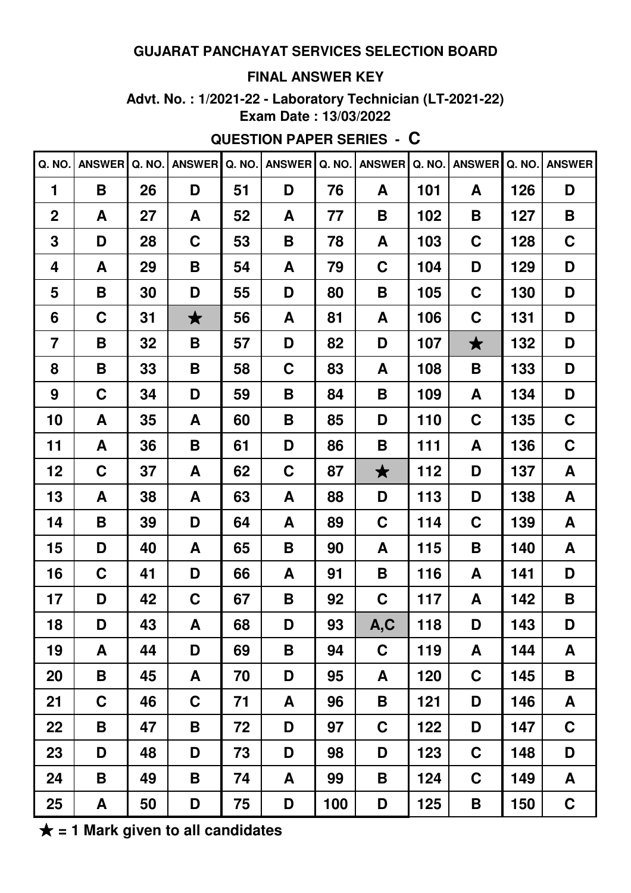#### **FINAL ANSWER KEY**

Advt. No.: 1/2021-22 - Laboratory Technician (LT-2021-22) Exam Date: 13/03/2022

# **QUESTION PAPER SERIES - C**

| Q. NO.          | <b>ANSWER</b> | Q. NO. | <b>ANSWER</b> | Q. NO. | <b>ANSWER</b> | Q. NO. | ANSWER Q. NO. |     | <b>ANSWER</b> | Q. NO. | <b>ANSWER</b> |
|-----------------|---------------|--------|---------------|--------|---------------|--------|---------------|-----|---------------|--------|---------------|
| 1               | B             | 26     | D             | 51     | D             | 76     | A             | 101 | A             | 126    | D             |
| $\overline{2}$  | A             | 27     | A             | 52     | A             | 77     | B             | 102 | B             | 127    | B             |
| 3               | D             | 28     | $\mathbf C$   | 53     | B             | 78     | A             | 103 | $\mathbf C$   | 128    | $\mathbf C$   |
| 4               | A             | 29     | B             | 54     | A             | 79     | C             | 104 | D             | 129    | D             |
| $5\phantom{.0}$ | B             | 30     | D             | 55     | D             | 80     | B             | 105 | $\mathbf C$   | 130    | D             |
| 6               | C             | 31     | $\bigstar$    | 56     | A             | 81     | A             | 106 | $\mathbf C$   | 131    | D             |
| $\overline{7}$  | B             | 32     | B             | 57     | D             | 82     | D             | 107 | $\bigstar$    | 132    | D             |
| 8               | B             | 33     | B             | 58     | $\mathbf C$   | 83     | A             | 108 | B             | 133    | D             |
| 9               | $\mathbf C$   | 34     | D             | 59     | B             | 84     | B             | 109 | A             | 134    | D             |
| 10              | A             | 35     | A             | 60     | B             | 85     | D             | 110 | $\mathbf C$   | 135    | $\mathbf C$   |
| 11              | A             | 36     | B             | 61     | D             | 86     | B             | 111 | A             | 136    | $\mathbf C$   |
| 12              | $\mathbf C$   | 37     | A             | 62     | $\mathbf C$   | 87     | $\bigstar$    | 112 | D             | 137    | A             |
| 13              | A             | 38     | A             | 63     | A             | 88     | D             | 113 | D             | 138    | A             |
| 14              | B             | 39     | D             | 64     | A             | 89     | C             | 114 | $\mathbf C$   | 139    | A             |
| 15              | D             | 40     | A             | 65     | B             | 90     | A             | 115 | B             | 140    | A             |
| 16              | $\mathbf C$   | 41     | D             | 66     | A             | 91     | Β             | 116 | A             | 141    | D             |
| 17              | D             | 42     | C             | 67     | B             | 92     | C             | 117 | A             | 142    | B             |
| 18              | D             | 43     | A             | 68     | D             | 93     | A,C           | 118 | D             | 143    | D             |
| 19              | A             | 44     | D             | 69     | B             | 94     | C             | 119 | A             | 144    | A             |
| 20              | B             | 45     | A             | 70     | D             | 95     | A             | 120 | $\mathbf C$   | 145    | B             |
| 21              | $\mathbf C$   | 46     | C             | 71     | A             | 96     | B             | 121 | D             | 146    | A             |
| 22              | B             | 47     | B             | 72     | D             | 97     | C             | 122 | D             | 147    | $\mathbf C$   |
| 23              | D             | 48     | D             | 73     | D             | 98     | D             | 123 | $\mathbf C$   | 148    | D             |
| 24              | B             | 49     | B             | 74     | A             | 99     | B             | 124 | $\mathbf C$   | 149    | A             |
| 25              | A             | 50     | D             | 75     | D             | 100    | D             | 125 | B             | 150    | $\mathbf C$   |

 $\bigstar$  = 1 Mark given to all candidates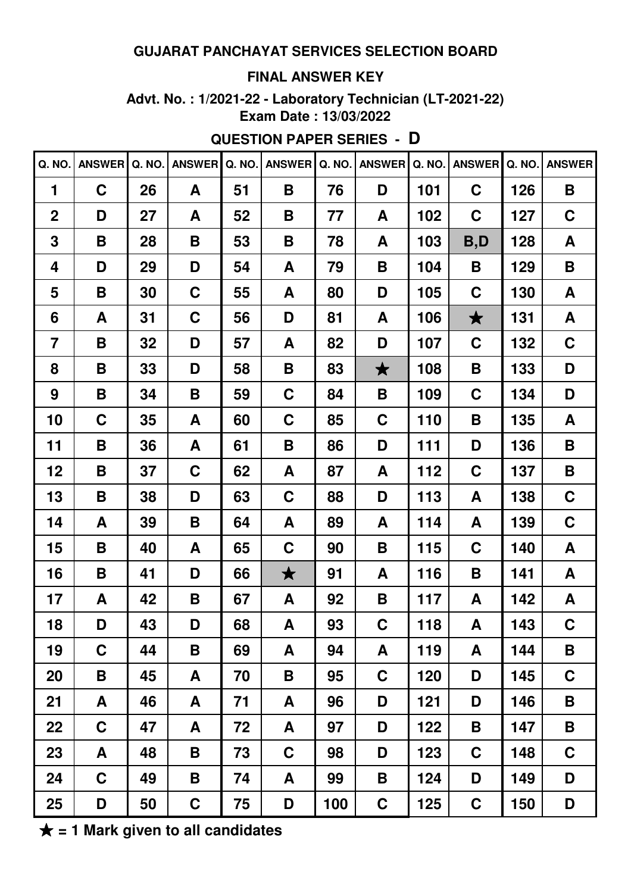### **FINAL ANSWER KEY**

**Advt. No. : 1/2021-22 - Laboratory Technician (LT-2021-22) Exam Date : 13/03/2022**

# **QUESTION PAPER SERIES - D**

| Q. NO.         | <b>ANSWER</b> | Q. NO. | <b>ANSWER</b> | Q. NO. | <b>ANSWER</b> | Q. NO. | <b>ANSWER</b> | Q. NO. | <b>ANSWER</b> | Q. NO. | <b>ANSWER</b> |
|----------------|---------------|--------|---------------|--------|---------------|--------|---------------|--------|---------------|--------|---------------|
| 1              | $\mathbf C$   | 26     | A             | 51     | B             | 76     | D             | 101    | $\mathbf C$   | 126    | B             |
| $\overline{2}$ | D             | 27     | A             | 52     | B             | 77     | A             | 102    | $\mathbf C$   | 127    | $\mathbf C$   |
| 3              | B             | 28     | Β             | 53     | B             | 78     | A             | 103    | B,D           | 128    | A             |
| 4              | D             | 29     | D             | 54     | A             | 79     | B             | 104    | B             | 129    | B             |
| 5              | B             | 30     | $\mathbf C$   | 55     | A             | 80     | D             | 105    | $\mathbf C$   | 130    | A             |
| 6              | A             | 31     | C             | 56     | D             | 81     | A             | 106    | $\bigstar$    | 131    | A             |
| $\overline{7}$ | B             | 32     | D             | 57     | A             | 82     | D             | 107    | C             | 132    | $\mathbf C$   |
| 8              | B             | 33     | D             | 58     | B             | 83     | ★             | 108    | B             | 133    | D             |
| 9              | B             | 34     | B             | 59     | C             | 84     | Β             | 109    | C             | 134    | D             |
| 10             | C             | 35     | A             | 60     | C             | 85     | C             | 110    | B             | 135    | A             |
| 11             | B             | 36     | A             | 61     | B             | 86     | D             | 111    | D             | 136    | B             |
| 12             | B             | 37     | C             | 62     | A             | 87     | A             | 112    | $\mathbf C$   | 137    | B             |
| 13             | B             | 38     | D             | 63     | C             | 88     | D             | 113    | A             | 138    | $\mathbf C$   |
| 14             | A             | 39     | B             | 64     | A             | 89     | A             | 114    | A             | 139    | $\mathbf C$   |
| 15             | B             | 40     | A             | 65     | C             | 90     | B             | 115    | $\mathbf C$   | 140    | A             |
| 16             | B             | 41     | D             | 66     | $\bigstar$    | 91     | A             | 116    | B             | 141    | A             |
| 17             | A             | 42     | B             | 67     | A             | 92     | Β             | 117    | A             | 142    | A             |
| 18             | D             | 43     | D             | 68     | A             | 93     | C             | 118    | A             | 143    | $\mathbf C$   |
| 19             | $\mathbf C$   | 44     | B             | 69     | A             | 94     | A             | 119    | A             | 144    | B             |
| 20             | B             | 45     | A             | 70     | B             | 95     | C             | 120    | D             | 145    | $\mathbf C$   |
| 21             | A             | 46     | A             | 71     | A             | 96     | D             | 121    | D             | 146    | B             |
| 22             | $\mathbf C$   | 47     | A             | 72     | A             | 97     | D             | 122    | B             | 147    | B             |
| 23             | A             | 48     | B             | 73     | C             | 98     | D             | 123    | $\mathbf C$   | 148    | $\mathbf C$   |
| 24             | $\mathbf C$   | 49     | B             | 74     | A             | 99     | Β             | 124    | D             | 149    | D             |
| 25             | D             | 50     | $\mathbf C$   | 75     | D             | 100    | C             | 125    | $\mathbf C$   | 150    | D             |

★ **= 1 Mark given to all candidates**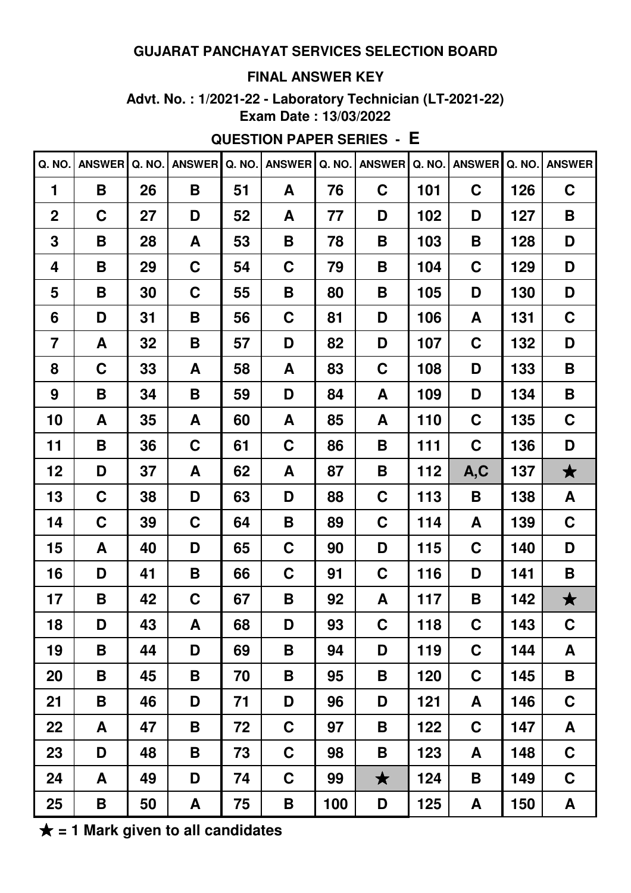### **FINAL ANSWER KEY**

**Advt. No. : 1/2021-22 - Laboratory Technician (LT-2021-22) Exam Date : 13/03/2022**

# **QUESTION PAPER SERIES - E**

| Q. NO.         | ANSWER Q. NO. |    | <b>ANSWER</b> | Q. NO. | <b>ANSWER</b> | Q. NO. | <b>ANSWER</b> | Q. NO. | <b>ANSWER</b> | Q. NO. | <b>ANSWER</b> |
|----------------|---------------|----|---------------|--------|---------------|--------|---------------|--------|---------------|--------|---------------|
| $\mathbf 1$    | B             | 26 | B             | 51     | A             | 76     | $\mathbf C$   | 101    | $\mathbf C$   | 126    | $\mathbf C$   |
| $\overline{2}$ | $\mathbf C$   | 27 | D             | 52     | A             | 77     | D             | 102    | D             | 127    | B             |
| 3              | B             | 28 | A             | 53     | B             | 78     | B             | 103    | B             | 128    | D             |
| 4              | B             | 29 | $\mathbf C$   | 54     | $\mathbf C$   | 79     | B             | 104    | $\mathbf C$   | 129    | D             |
| 5              | B             | 30 | $\mathbf C$   | 55     | B             | 80     | B             | 105    | D             | 130    | D             |
| 6              | D             | 31 | B             | 56     | $\mathbf C$   | 81     | D             | 106    | A             | 131    | $\mathbf C$   |
| $\overline{7}$ | A             | 32 | B             | 57     | D             | 82     | D             | 107    | $\mathbf C$   | 132    | D             |
| 8              | $\mathbf C$   | 33 | A             | 58     | A             | 83     | C             | 108    | D             | 133    | B             |
| 9              | B             | 34 | B             | 59     | D             | 84     | A             | 109    | D             | 134    | B             |
| 10             | A             | 35 | A             | 60     | A             | 85     | A             | 110    | $\mathbf C$   | 135    | $\mathbf C$   |
| 11             | B             | 36 | $\mathbf C$   | 61     | $\mathbf C$   | 86     | B             | 111    | $\mathbf C$   | 136    | D             |
| 12             | D             | 37 | A             | 62     | A             | 87     | B             | 112    | A, C          | 137    | $\bigstar$    |
| 13             | C             | 38 | D             | 63     | D             | 88     | C             | 113    | B             | 138    | A             |
| 14             | $\mathbf C$   | 39 | C             | 64     | B             | 89     | C             | 114    | A             | 139    | $\mathbf C$   |
| 15             | A             | 40 | D             | 65     | $\mathbf C$   | 90     | D             | 115    | $\mathbf C$   | 140    | D             |
| 16             | D             | 41 | B             | 66     | $\mathbf C$   | 91     | C             | 116    | D             | 141    | B             |
| 17             | B             | 42 | C             | 67     | B             | 92     | A             | 117    | B             | 142    | $\bigstar$    |
| 18             | D             | 43 | A             | 68     | D             | 93     | $\mathbf C$   | 118    | $\mathbf C$   | 143    | $\mathbf C$   |
| 19             | B             | 44 | D             | 69     | B             | 94     | D             | 119    | $\mathbf C$   | 144    | A             |
| 20             | B             | 45 | B             | 70     | B             | 95     | B             | 120    | $\mathbf C$   | 145    | B             |
| 21             | B             | 46 | D             | 71     | D             | 96     | D             | 121    | A             | 146    | $\mathbf C$   |
| 22             | A             | 47 | B             | 72     | $\mathbf C$   | 97     | B             | 122    | $\mathbf C$   | 147    | A             |
| 23             | D             | 48 | B             | 73     | $\mathbf C$   | 98     | B             | 123    | A             | 148    | $\mathbf C$   |
| 24             | A             | 49 | D             | 74     | $\mathbf C$   | 99     | $\bigstar$    | 124    | B             | 149    | $\mathbf C$   |
| 25             | B             | 50 | A             | 75     | B             | 100    | D             | 125    | A             | 150    | $\mathbf{A}$  |

★ **= 1 Mark given to all candidates**